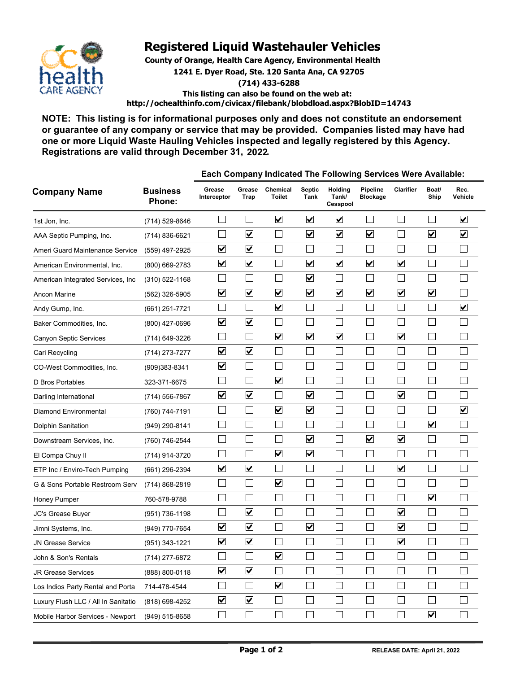

## **Registered Liquid Wastehauler Vehicles**

**County of Orange, Health Care Agency, Environmental Health 1241 E. Dyer Road, Ste. 120 Santa Ana, CA 92705**

**(714) 433-6288**

**This listing can also be found on the web at: http://ochealthinfo.com/civicax/filebank/blobdload.aspx?BlobID=14743**

**NOTE: This listing is for informational purposes only and does not constitute an endorsement or guarantee of any company or service that may be provided. Companies listed may have had one or more Liquid Waste Hauling Vehicles inspected and legally registered by this Agency. Registrations are valid through December 31, 2022.** 

| <b>Company Name</b>                 | <b>Business</b><br>Phone: | Each Company Indicated The Following Services Were Available: |                      |                           |                             |                              |                             |                             |                             |                         |
|-------------------------------------|---------------------------|---------------------------------------------------------------|----------------------|---------------------------|-----------------------------|------------------------------|-----------------------------|-----------------------------|-----------------------------|-------------------------|
|                                     |                           | Grease<br>Interceptor                                         | Grease<br>Trap       | Chemical<br><b>Toilet</b> | <b>Septic</b><br>Tank       | Holding<br>Tank/<br>Cesspool | Pipeline<br><b>Blockage</b> | Clarifier                   | Boat/<br>Ship               | Rec.<br>Vehicle         |
| 1st Jon, Inc.                       | (714) 529-8646            |                                                               | $\vert$              | $\overline{\mathbf{v}}$   | $\blacktriangledown$        | $\blacktriangledown$         | $\mathcal{L}_{\mathcal{A}}$ |                             |                             | $\overline{\mathbf{v}}$ |
| AAA Septic Pumping, Inc.            | (714) 836-6621            |                                                               | $\blacktriangledown$ | $\Box$                    | $\blacktriangledown$        | $\blacktriangledown$         | $\blacktriangledown$        | Ξ                           | $\blacktriangledown$        | $\overline{\mathbf{v}}$ |
| Ameri Guard Maintenance Service     | (559) 497-2925            | $\blacktriangledown$                                          | $\blacktriangledown$ | $\Box$                    | $\mathcal{L}_{\mathcal{A}}$ | $\mathcal{L}$                | $\Box$                      |                             | $\sim$                      |                         |
| American Environmental, Inc.        | (800) 669-2783            | $\overline{\mathbf{v}}$                                       | $\blacktriangledown$ |                           | $\blacktriangledown$        | $\blacktriangledown$         | $\blacktriangledown$        | $\blacktriangledown$        | Ξ                           |                         |
| American Integrated Services, Inc.  | $(310)$ 522-1168          |                                                               | П                    |                           | $\blacktriangledown$        |                              |                             |                             |                             |                         |
| <b>Ancon Marine</b>                 | (562) 326-5905            | $\blacktriangledown$                                          | $\blacktriangledown$ | $\blacktriangledown$      | $\blacktriangledown$        | $\blacktriangledown$         | $\overline{\mathbf{v}}$     | $\blacktriangledown$        | $\blacktriangledown$        |                         |
| Andy Gump, Inc.                     | (661) 251-7721            |                                                               | L.                   | $\blacktriangledown$      | $\mathcal{L}_{\mathcal{A}}$ |                              |                             |                             | $\sim$                      | $\blacktriangledown$    |
| Baker Commodities, Inc.             | (800) 427-0696            | $\blacktriangledown$                                          | $\blacktriangledown$ |                           | $\Box$                      |                              | $\Box$                      |                             | Ξ                           |                         |
| Canyon Septic Services              | (714) 649-3226            |                                                               | $\Box$               | $\blacktriangledown$      | $\blacktriangledown$        | $\blacktriangledown$         | $\mathbf{L}$                | $\blacktriangledown$        |                             |                         |
| Cari Recycling                      | (714) 273-7277            | $\blacktriangledown$                                          | $\blacktriangledown$ | $\Box$                    | $\Box$                      |                              | $\mathbb{R}^n$              |                             |                             |                         |
| CO-West Commodities, Inc.           | (909)383-8341             | $\blacktriangledown$                                          | $\mathbb{R}^n$       | $\mathbf{I}$              | $\mathbb{R}^n$              |                              | $\mathbb{R}$                |                             |                             |                         |
| D Bros Portables                    | 323-371-6675              |                                                               |                      | $\blacktriangledown$      | П                           |                              |                             |                             |                             |                         |
| Darling International               | (714) 556-7867            | $\overline{\mathbf{v}}$                                       | $\blacktriangledown$ |                           | $\blacktriangledown$        |                              | I.                          | $\blacktriangledown$        |                             |                         |
| <b>Diamond Environmental</b>        | (760) 744-7191            |                                                               | $\mathbb{R}^n$       | $\blacktriangledown$      | $\blacktriangledown$        |                              | $\mathcal{L}_{\mathcal{A}}$ |                             |                             | $\blacktriangledown$    |
| Dolphin Sanitation                  | (949) 290-8141            |                                                               |                      |                           | $\Box$                      |                              | I.                          |                             | $\overline{\mathbf{v}}$     |                         |
| Downstream Services, Inc.           | (760) 746-2544            |                                                               |                      |                           | $\blacktriangledown$        |                              | $\blacktriangledown$        | $\blacktriangledown$        | Ξ                           |                         |
| El Compa Chuy II                    | (714) 914-3720            |                                                               | $\Box$               | $\blacktriangledown$      | $\blacktriangledown$        |                              | $\Box$                      |                             | Ξ                           |                         |
| ETP Inc / Enviro-Tech Pumping       | (661) 296-2394            | $\blacktriangledown$                                          | $\blacktriangledown$ | $\Box$                    | $\Box$                      |                              |                             | $\blacktriangledown$        |                             |                         |
| G & Sons Portable Restroom Serv     | (714) 868-2819            |                                                               |                      | $\blacktriangledown$      | $\mathbb{R}^n$              |                              | I.                          |                             | Ξ                           |                         |
| Honey Pumper                        | 760-578-9788              |                                                               | Г                    |                           | Г                           |                              | $\Box$                      |                             | $\blacktriangledown$        |                         |
| JC's Grease Buyer                   | (951) 736-1198            |                                                               | $\blacktriangledown$ |                           | $\Box$                      |                              | $\mathcal{L}_{\mathcal{A}}$ | $\blacktriangledown$        | $\mathcal{L}_{\mathcal{A}}$ |                         |
| Jimni Systems, Inc.                 | (949) 770-7654            | $\blacktriangledown$                                          | $\blacktriangledown$ | $\Box$                    | $\blacktriangledown$        |                              | $\mathcal{L}_{\mathcal{A}}$ | $\blacktriangledown$        | ÷,                          |                         |
| JN Grease Service                   | (951) 343-1221            | $\blacktriangledown$                                          | $\blacktriangledown$ |                           | $\mathcal{L}_{\mathcal{A}}$ |                              |                             | $\blacktriangledown$        |                             |                         |
| John & Son's Rentals                | (714) 277-6872            |                                                               | $\Box$               | $\blacktriangledown$      |                             |                              | $\overline{\phantom{a}}$    |                             | $\overline{\phantom{0}}$    |                         |
| <b>JR Grease Services</b>           | (888) 800-0118            | $\blacktriangledown$                                          | $\blacktriangledown$ | $\Box$                    | $\Box$                      | $\Box$                       | $\Box$                      | $\mathcal{L}_{\mathcal{A}}$ | $\Box$                      |                         |
| Los Indios Party Rental and Porta   | 714-478-4544              |                                                               | $\Box$               | $\blacktriangledown$      | $\Box$                      | $\overline{\phantom{a}}$     | $\Box$                      | $\Box$                      | $\Box$                      |                         |
| Luxury Flush LLC / All In Sanitatio | (818) 698-4252            | $\blacktriangledown$                                          | $\blacktriangledown$ | $\Box$                    | $\Box$                      | $\mathcal{L}_{\mathcal{A}}$  | $\Box$                      | $\overline{\phantom{a}}$    | $\sim$ 1                    |                         |
| Mobile Harbor Services - Newport    | (949) 515-8658            | $\Box$                                                        | $\Box$               | $\Box$                    | $\Box$                      | $\mathcal{L}_{\mathcal{A}}$  | $\Box$                      |                             | $\blacktriangledown$        |                         |